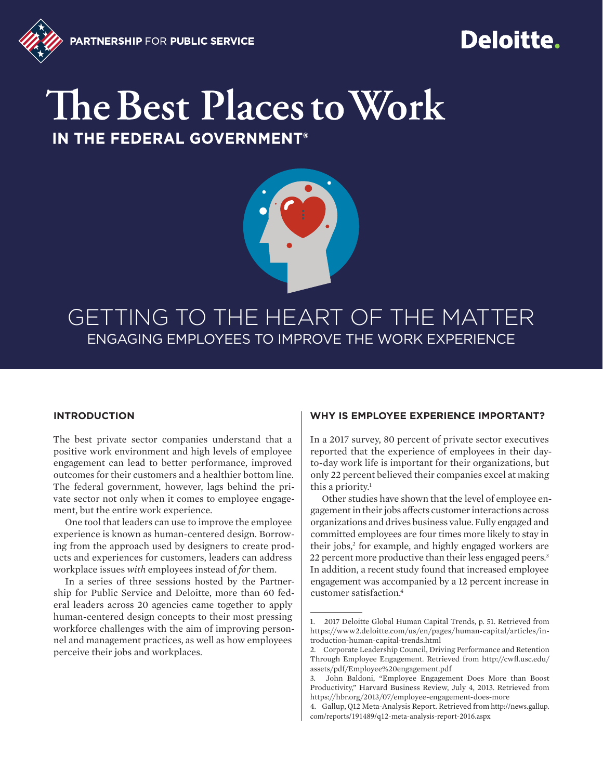

# Deloitte.

# The Best Places to Work

IN THE FEDERAL GOVERNMENT®



# GETTING TO THE HEART OF THE MATTER ENGAGING EMPLOYEES TO IMPROVE THE WORK EXPERIENCE

## **INTRODUCTION**

The best private sector companies understand that a positive work environment and high levels of employee engagement can lead to better performance, improved outcomes for their customers and a healthier bottom line. The federal government, however, lags behind the private sector not only when it comes to employee engagement, but the entire work experience.

One tool that leaders can use to improve the employee experience is known as human-centered design. Borrowing from the approach used by designers to create products and experiences for customers, leaders can address workplace issues *with* employees instead of *for* them.

In a series of three sessions hosted by the Partnership for Public Service and Deloitte, more than 60 federal leaders across 20 agencies came together to apply human-centered design concepts to their most pressing workforce challenges with the aim of improving personnel and management practices, as well as how employees perceive their jobs and workplaces.

## **WHY IS EMPLOYEE EXPERIENCE IMPORTANT?**

In a 2017 survey, 80 percent of private sector executives reported that the experience of employees in their dayto-day work life is important for their organizations, but only 22 percent believed their companies excel at making this a priority.<sup>1</sup>

Other studies have shown that the level of employee engagement in their jobs affects customer interactions across organizations and drives business value. Fully engaged and committed employees are four times more likely to stay in their jobs,<sup>2</sup> for example, and highly engaged workers are 22 percent more productive than their less engaged peers.<sup>3</sup> In addition, a recent study found that increased employee engagement was accompanied by a 12 percent increase in customer satisfaction.4

<sup>1. 2017</sup> Deloitte Global Human Capital Trends, p. 51. Retrieved from [https://www2.deloitte.com/us/en/pages/human-capital/articles/in](https://www2.deloitte.com/us/en/pages/human-capital/articles/introduction-human-capital-trends.html)[troduction-human-capital-trends.html](https://www2.deloitte.com/us/en/pages/human-capital/articles/introduction-human-capital-trends.html)

<sup>2.</sup> Corporate Leadership Council, Driving Performance and Retention Through Employee Engagement. Retrieved from <http://cwfl.usc.edu/> [assets/pdf/Employee%20engagement.pdf](http://cwfl.usc.edu/)

<sup>3.</sup> John Baldoni, "Employee Engagement Does More than Boost Productivity," Harvard Business Review, July 4, 2013. Retrieved from [https://hbr.org/2013/07/employee-engagement-does-more](https://hbr.org/2013/07/employee-engagement-does-more )

<sup>4.</sup> Gallup, Q12 Meta-Analysis Report. Retrieved from [http://news.gallup.](http://news.gallup.com/reports/191489/q12-meta-analysis-report-2016.aspx  ) [com/reports/191489/q12-meta-analysis-report-2016.aspx](http://news.gallup.com/reports/191489/q12-meta-analysis-report-2016.aspx  )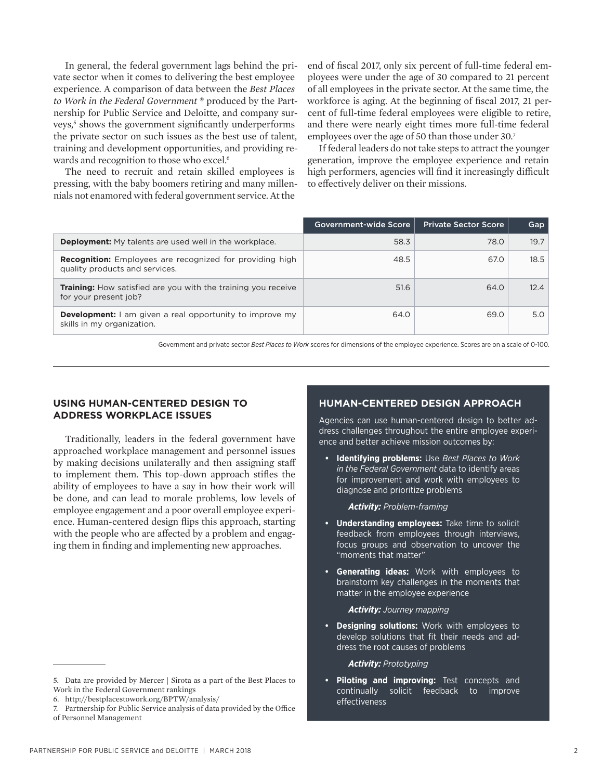In general, the federal government lags behind the private sector when it comes to delivering the best employee experience. A comparison of data between the *Best Places to Work in the Federal Government* ® produced by the Partnership for Public Service and Deloitte, and company surveys,<sup>5</sup> shows the government significantly underperforms the private sector on such issues as the best use of talent, training and development opportunities, and providing rewards and recognition to those who excel.<sup>6</sup>

The need to recruit and retain skilled employees is pressing, with the baby boomers retiring and many millennials not enamored with federal government service. At the

end of fiscal 2017, only six percent of full-time federal employees were under the age of 30 compared to 21 percent of all employees in the private sector. At the same time, the workforce is aging. At the beginning of fiscal 2017, 21 percent of full-time federal employees were eligible to retire, and there were nearly eight times more full-time federal employees over the age of 50 than those under 30.<sup>7</sup>

If federal leaders do not take steps to attract the younger generation, improve the employee experience and retain high performers, agencies will find it increasingly difficult to effectively deliver on their missions.

|                                                                                                   | Government-wide Score | <b>Private Sector Score</b> | Gap  |
|---------------------------------------------------------------------------------------------------|-----------------------|-----------------------------|------|
| <b>Deployment:</b> My talents are used well in the workplace.                                     | 58.3                  | 78.0                        | 19.7 |
| <b>Recognition:</b> Employees are recognized for providing high<br>quality products and services. | 48.5                  | 67.0                        | 18.5 |
| <b>Training:</b> How satisfied are you with the training you receive<br>for your present job?     | 51.6                  | 64.0                        | 12.4 |
| <b>Development:</b> I am given a real opportunity to improve my<br>skills in my organization.     | 64.0                  | 69.0                        | 5.0  |

Government and private sector *Best Places to Work* scores for dimensions of the employee experience. Scores are on a scale of 0-100.

# **USING HUMAN-CENTERED DESIGN TO ADDRESS WORKPLACE ISSUES**

Traditionally, leaders in the federal government have approached workplace management and personnel issues by making decisions unilaterally and then assigning staff to implement them. This top-down approach stifles the ability of employees to have a say in how their work will be done, and can lead to morale problems, low levels of employee engagement and a poor overall employee experience. Human-centered design flips this approach, starting with the people who are affected by a problem and engaging them in finding and implementing new approaches.

# **HUMAN-CENTERED DESIGN APPROACH**

Agencies can use human-centered design to better address challenges throughout the entire employee experience and better achieve mission outcomes by:

**• Identifying problems:** Use *Best Places to Work in the Federal Government* data to identify areas for improvement and work with employees to diagnose and prioritize problems

*Activity: Problem-framing*

- **• Understanding employees:** Take time to solicit feedback from employees through interviews, focus groups and observation to uncover the "moments that matter"
- **• Generating ideas:** Work with employees to brainstorm key challenges in the moments that matter in the employee experience

#### *Activity: Journey mapping*

**• Designing solutions:** Work with employees to develop solutions that fit their needs and address the root causes of problems

*Activity: Prototyping*

**• Piloting and improving:** Test concepts and continually solicit feedback to improve effectiveness

<sup>5.</sup> Data are provided by Mercer | Sirota as a part of the Best Places to Work in the Federal Government rankings

<sup>6.</sup> <http://bestplacestowork.org/BPTW/analysis/>

<sup>7.</sup> Partnership for Public Service analysis of data provided by the Office of Personnel Management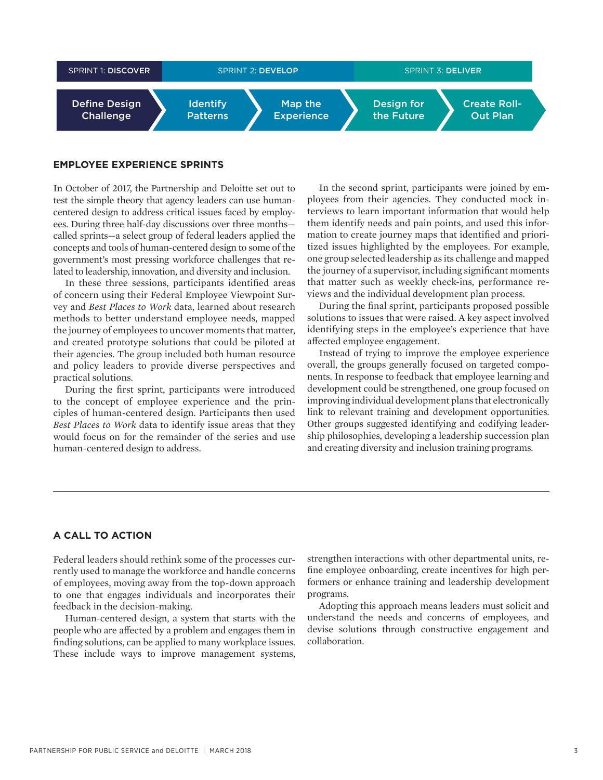

# **EMPLOYEE EXPERIENCE SPRINTS**

In October of 2017, the Partnership and Deloitte set out to test the simple theory that agency leaders can use humancentered design to address critical issues faced by employees. During three half-day discussions over three months called sprints—a select group of federal leaders applied the concepts and tools of human-centered design to some of the government's most pressing workforce challenges that related to leadership, innovation, and diversity and inclusion.

In these three sessions, participants identified areas of concern using their Federal Employee Viewpoint Survey and *Best Places to Work* data, learned about research methods to better understand employee needs, mapped the journey of employees to uncover moments that matter, and created prototype solutions that could be piloted at their agencies. The group included both human resource and policy leaders to provide diverse perspectives and practical solutions.

During the first sprint, participants were introduced to the concept of employee experience and the principles of human-centered design. Participants then used *Best Places to Work* data to identify issue areas that they would focus on for the remainder of the series and use human-centered design to address.

In the second sprint, participants were joined by employees from their agencies. They conducted mock interviews to learn important information that would help them identify needs and pain points, and used this information to create journey maps that identified and prioritized issues highlighted by the employees. For example, one group selected leadership as its challenge and mapped the journey of a supervisor, including significant moments that matter such as weekly check-ins, performance reviews and the individual development plan process.

During the final sprint, participants proposed possible solutions to issues that were raised. A key aspect involved identifying steps in the employee's experience that have affected employee engagement.

Instead of trying to improve the employee experience overall, the groups generally focused on targeted components. In response to feedback that employee learning and development could be strengthened, one group focused on improving individual development plans that electronically link to relevant training and development opportunities. Other groups suggested identifying and codifying leadership philosophies, developing a leadership succession plan and creating diversity and inclusion training programs.

# **A CALL TO ACTION**

Federal leaders should rethink some of the processes currently used to manage the workforce and handle concerns of employees, moving away from the top-down approach to one that engages individuals and incorporates their feedback in the decision-making.

Human-centered design, a system that starts with the people who are affected by a problem and engages them in finding solutions, can be applied to many workplace issues. These include ways to improve management systems, strengthen interactions with other departmental units, refine employee onboarding, create incentives for high performers or enhance training and leadership development programs.

Adopting this approach means leaders must solicit and understand the needs and concerns of employees, and devise solutions through constructive engagement and collaboration.